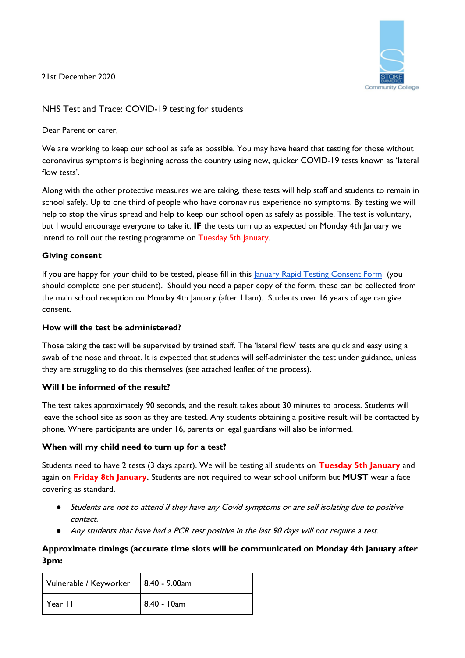21st December 2020



# NHS Test and Trace: COVID-19 testing for students

Dear Parent or carer

We are working to keep our school as safe as possible. You may have heard that testing for those without coronavirus symptoms is beginning across the country using new, quicker COVID-19 tests known as 'lateral flow tests'.

Along with the other protective measures we are taking, these tests will help staff and students to remain in school safely. Up to one third of people who have coronavirus experience no symptoms. By testing we will help to stop the virus spread and help to keep our school open as safely as possible. The test is voluntary, but I would encourage everyone to take it. **IF** the tests turn up as expected on Monday 4th January we intend to roll out the testing programme on Tuesday 5th January.

#### **Giving consent**

If you are happy for your child to be tested, please fill in this [January Rapid Testing Consent Form](https://forms.gle/CLnZTrY37qHuGDcp8) (you should complete one per student). Should you need a paper copy of the form, these can be collected from the main school reception on Monday 4th January (after 11am). Students over 16 years of age can give consent.

#### **How will the test be administered?**

Those taking the test will be supervised by trained staff. The 'lateral flow' tests are quick and easy using a swab of the nose and throat. It is expected that students will self-administer the test under guidance, unless they are struggling to do this themselves (see attached leaflet of the process).

#### **Will I be informed of the result?**

The test takes approximately 90 seconds, and the result takes about 30 minutes to process. Students will leave the school site as soon as they are tested. Any students obtaining a positive result will be contacted by phone. Where participants are under 16, parents or legal guardians will also be informed.

#### **When will my child need to turn up for a test?**

Students need to have 2 tests (3 days apart). We will be testing all students on **Tuesday 5th January** and again on **Friday 8th January.** Students are not required to wear school uniform but **MUST** wear a face covering as standard.

- Students are not to attend if they have any Covid symptoms or are self isolating due to positive contact.
- Any students that have had a PCR test positive in the last 90 days will not require a test.

# **Approximate timings (accurate time slots will be communicated on Monday 4th January after 3pm:**

| Vulnerable / Keyworker   8.40 - 9.00am |             |
|----------------------------------------|-------------|
| Year II                                | 8.40 - 10am |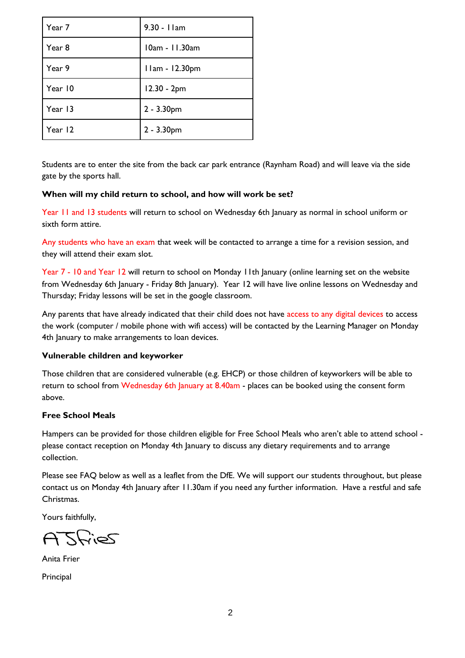| Year 7  | 9.30 - I lam   |
|---------|----------------|
| Year 8  | 10am - 11.30am |
| Year 9  | 11am - 12.30pm |
| Year 10 | 12.30 - 2pm    |
| Year 13 | $2 - 3.30$ pm  |
| Year 12 | 2 - 3.30pm     |

Students are to enter the site from the back car park entrance (Raynham Road) and will leave via the side gate by the sports hall.

#### **When will my child return to school, and how will work be set?**

Year 11 and 13 students will return to school on Wednesday 6th January as normal in school uniform or sixth form attire.

Any students who have an exam that week will be contacted to arrange a time for a revision session, and they will attend their exam slot.

Year 7 - 10 and Year 12 will return to school on Monday 11th January (online learning set on the website from Wednesday 6th January - Friday 8th January). Year 12 will have live online lessons on Wednesday and Thursday; Friday lessons will be set in the google classroom.

Any parents that have already indicated that their child does not have access to any digital devices to access the work (computer / mobile phone with wifi access) will be contacted by the Learning Manager on Monday 4th January to make arrangements to loan devices.

# **Vulnerable children and keyworker**

Those children that are considered vulnerable (e.g. EHCP) or those children of keyworkers will be able to return to school from Wednesday 6th January at 8.40am - places can be booked using the consent form above.

# **Free School Meals**

Hampers can be provided for those children eligible for Free School Meals who aren't able to attend school please contact reception on Monday 4th January to discuss any dietary requirements and to arrange collection.

Please see FAQ below as well as a leaflet from the DfE. We will support our students throughout, but please contact us on Monday 4th January after 11.30am if you need any further information. Have a restful and safe Christmas.

Yours faithfully,

ASFIES

Anita Frier

**Principal**